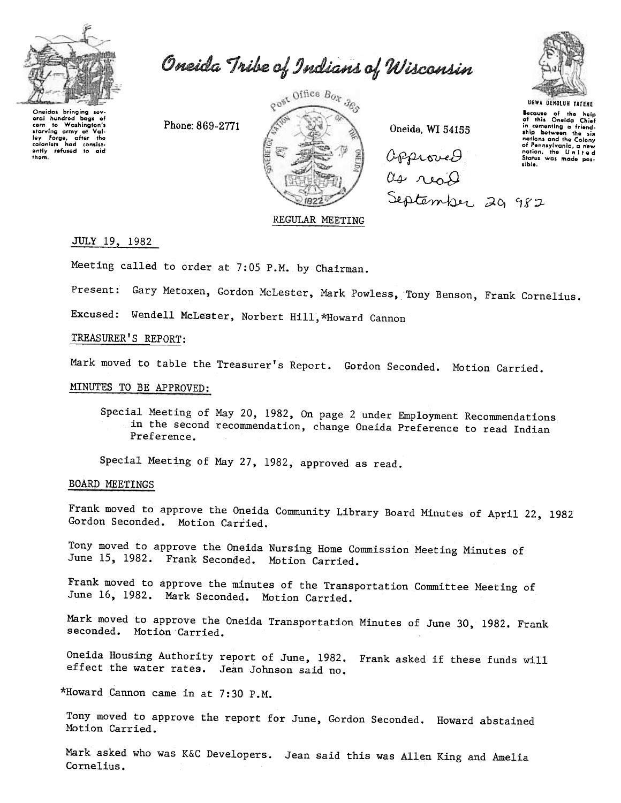

Oneida Tribe of Indians of Wisconsin

Oneidas bringing sevbags of eral hundred wra nunarea bags of<br>corn to Washington's<br>starving army at Valley Forge, after the<br>colonists had consist-<br>ently refused to aid<br>them.

Phone: 869-2771



Oneida, WI 54155

approved. as read September 20, 982



UGWA DEHOLUN YATENE Because of the help<br>of this Oneida Chief<br>in comenting a friend-<br>ship between the six<br>notions and the Colony<br>of Pensylvating Colony nations and the Colony<br>of Pennsylvania, a new<br>nation, the United<br>States was made posted sible.

## REGULAR MEETING

#### JULY 19, 1982

Meeting called to order at 7:05 P.M. by Chairman.

Present: Gary Metoxen, Gordon McLester, Mark Powless, Tony Benson, Frank Cornelius.

Excused: Wendell McLester, Norbert Hill, \*Howard Cannon

## TREASURER'S REPORT:

Mark moved to table the Treasurer's Report. Gordon Seconded. Motion Carried.

## MINUTES TO BE APPROVED:

Special Meeting of May 20, 1982, On page 2 under Employment Recommendations in the second recommendation, change Oneida Preference to read Indian Preference.

Special Meeting of May 27, 1982, approved as read.

### BOARD MEETINGS

Frank moved to approve the Oneida Community Library Board Minutes of April 22, 1982 Gordon Seconded. Motion Carried.

Tony moved to approve the Oneida Nursing Home Commission Meeting Minutes of June 15, 1982. Frank Seconded. Motion Carried.

Frank moved to approve the minutes of the Transportation Committee Meeting of June 16, 1982. Mark Seconded. Motion Carried.

Mark moved to approve the Oneida Transportation Minutes of June 30, 1982. Frank seconded. Motion Carried.

Oneida Housing Authority report of June, 1982. Frank asked if these funds will effect the water rates. Jean Johnson said no.

\*Howard Cannon came in at 7:30 P.M.

Tony moved to approve the report for June, Gordon Seconded. Howard abstained Motion Carried.

Mark asked who was K&C Developers. Jean said this was Allen King and Amelia Cornelius.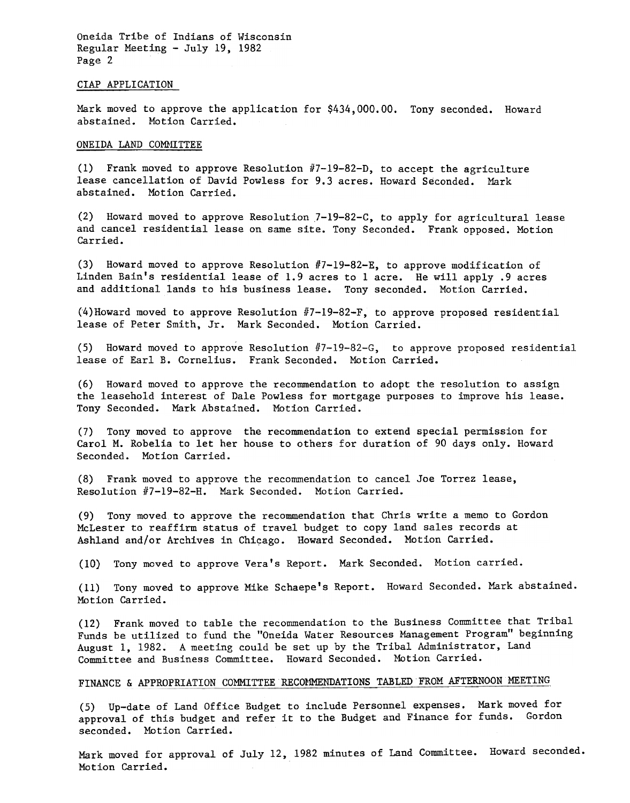Oneida Tribe of Indians of Wisconsin Regular Meeting -July 19, 1982 Page 2

#### ClAP APPLICATION

Mark moved to approve the application for \$434,000.00. Tony seconded. Howard abstained. Motion Carried.

#### ONEIDA LAND COMMITTEE

(1) Frank moved to approve Resolution  $#7-19-82-D$ , to accept the agriculture lease cancellation of David Powless for 9.3 acres. Howard Seconded. Mark abstained. Motion Carried.

(2) Howard moved to approve Resolution 7-19-82-C, to apply for agricultural lease and cancel residential lease on same site. Tony Seconded. Frank opposed. Motion Carried.

(3) Howard moved to approve Resolution  $#7-19-82-E$ , to approve modification of Linden Bain's residential lease of 1.9 acres to 1 acre. He will apply .9 acres and additional lands to his business lease. Tony seconded. Motion Carried.

 $(4)$  Howard moved to approve Resolution #7-19-82-F, to approve proposed residential lease of Peter Smith, Jr. Mark Seconded. Motion Carried.

(5) Howard moved to approve Resolution  $#7-19-82-G$ , to approve proposed residential lease of Earl B. Cornelius. Frank Seconded. Motion Carried.

(6) Howard moved to approve the recommendation to adopt the resolution to assign the leasehold interest of Dale Powless for mortgage purposes to improve his lease. Tony Seconded. Mark Abstained. Motion Carried.

(7) Tony moved to approve the recommendation to extend special permission for Carol M. Robelia to let her house to others for duration of 90 days only. Howard Seconded. Motion Carried.

(8) Frank moved to approve the recommendation to cancel Joe Torrez lease, Resolution #7-19-82-H. Mark Seconded. Motion Carried.

(9) Tony moved to approve the recommendation that Chris write a memo to Gordon McLester to reaffirm status of travel budget to copy land sales records at Ashland and/or Archives in Chicago. Howard Seconded. Motion Carried.

(10) Tony moved to approve Vera's Report. Mark Seconded. Motion carried.

(11) Tony moved to approve Mike Schaepe's Report. Howard Seconded. Mark abstained. Motion Carried.

(12) Frank moved to table the recommendation to the Business Committee that Tribal Funds be utilized to fund the "Oneida Water Resources Management Program" beginning August 1, 1982. A meeting could be set up by the Tribal Administrator, Land Committee and Business Committee. Howard Seconded. MOtion Carried.

# FINANCE & APPROPRIATION COMMITTEE RECOMMENDATIONS TABLED FROM AFTERNOON MEETING

(5) Up-date of Land Office Budget to include Personnel expenses. Mark moved for approval of this budget and refer it to the Budget and Finance for funds. Gordon seconded. Motion Carried.

Mark moved for approval of July 12,1982 minutes of Land Committee. Howard seconded. Motion Carried.